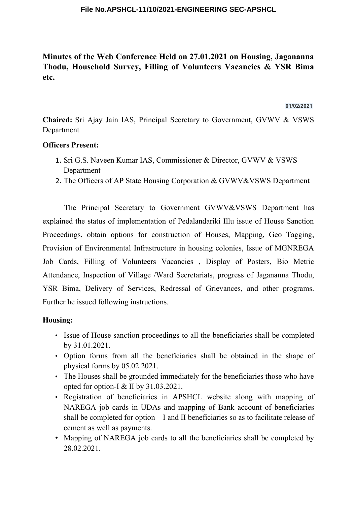#### **File No.APSHCL-11/10/2021-ENGINEERING SEC-APSHCL**

# **Minutes of the Web Conference Held on 27.01.2021 on Housing, Jagananna Thodu, Household Survey, Filling of Volunteers Vacancies & YSR Bima etc.**

**01/02/2021**

**Chaired:** Sri Ajay Jain IAS, Principal Secretary to Government, GVWV & VSWS Department

### **Officers Present:**

- 1. Sri G.S. Naveen Kumar IAS, Commissioner & Director, GVWV & VSWS Department
- 2. The Officers of AP State Housing Corporation & GVWV&VSWS Department

The Principal Secretary to Government GVWV&VSWS Department has explained the status of implementation of Pedalandariki Illu issue of House Sanction Proceedings, obtain options for construction of Houses, Mapping, Geo Tagging, Provision of Environmental Infrastructure in housing colonies, Issue of MGNREGA Job Cards, Filling of Volunteers Vacancies , Display of Posters, Bio Metric Attendance, Inspection of Village /Ward Secretariats, progress of Jagananna Thodu, YSR Bima, Delivery of Services, Redressal of Grievances, and other programs. Further he issued following instructions.

### **Housing:**

- Issue of House sanction proceedings to all the beneficiaries shall be completed by 31.01.2021.
- Option forms from all the beneficiaries shall be obtained in the shape of physical forms by 05.02.2021.
- The Houses shall be grounded immediately for the beneficiaries those who have opted for option-I & II by 31.03.2021.
- Registration of beneficiaries in APSHCL website along with mapping of NAREGA job cards in UDAs and mapping of Bank account of beneficiaries shall be completed for option – I and II beneficiaries so as to facilitate release of cement as well as payments.
- Mapping of NAREGA job cards to all the beneficiaries shall be completed by 28.02.2021.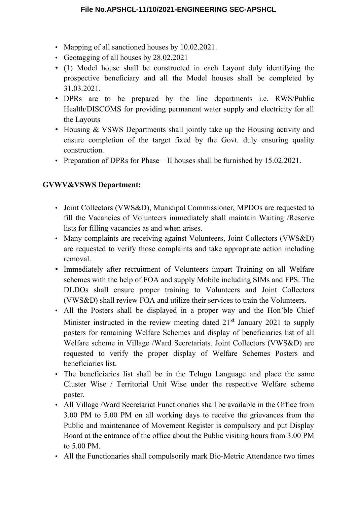- Mapping of all sanctioned houses by 10.02.2021.
- Geotagging of all houses by 28.02.2021
- (1) Model house shall be constructed in each Layout duly identifying the prospective beneficiary and all the Model houses shall be completed by 31.03.2021.
- DPRs are to be prepared by the line departments i.e. RWS/Public Health/DISCOMS for providing permanent water supply and electricity for all the Layouts
- Housing & VSWS Departments shall jointly take up the Housing activity and ensure completion of the target fixed by the Govt. duly ensuring quality construction.
- Preparation of DPRs for Phase II houses shall be furnished by 15.02.2021.

## **GVWV&VSWS Department:**

- Joint Collectors (VWS&D), Municipal Commissioner, MPDOs are requested to fill the Vacancies of Volunteers immediately shall maintain Waiting /Reserve lists for filling vacancies as and when arises.
- Many complaints are receiving against Volunteers, Joint Collectors (VWS&D) are requested to verify those complaints and take appropriate action including removal.
- Immediately after recruitment of Volunteers impart Training on all Welfare schemes with the help of FOA and supply Mobile including SIMs and FPS. The DLDOs shall ensure proper training to Volunteers and Joint Collectors (VWS&D) shall review FOA and utilize their services to train the Volunteers.
- All the Posters shall be displayed in a proper way and the Hon'ble Chief Minister instructed in the review meeting dated  $21<sup>st</sup>$  January 2021 to supply posters for remaining Welfare Schemes and display of beneficiaries list of all Welfare scheme in Village /Ward Secretariats. Joint Collectors (VWS&D) are requested to verify the proper display of Welfare Schemes Posters and beneficiaries list.
- The beneficiaries list shall be in the Telugu Language and place the same Cluster Wise / Territorial Unit Wise under the respective Welfare scheme poster.
- All Village /Ward Secretariat Functionaries shall be available in the Office from 3.00 PM to 5.00 PM on all working days to receive the grievances from the Public and maintenance of Movement Register is compulsory and put Display Board at the entrance of the office about the Public visiting hours from 3.00 PM to 5.00 PM.
- All the Functionaries shall compulsorily mark Bio-Metric Attendance two times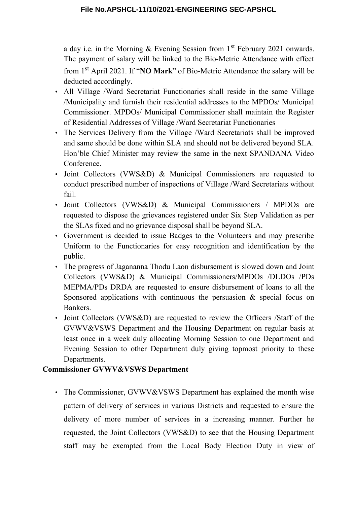a day i.e. in the Morning  $&$  Evening Session from 1<sup>st</sup> February 2021 onwards. The payment of salary will be linked to the Bio-Metric Attendance with effect from 1st April 2021. If "**NO Mark**" of Bio-Metric Attendance the salary will be deducted accordingly.

- All Village /Ward Secretariat Functionaries shall reside in the same Village /Municipality and furnish their residential addresses to the MPDOs/ Municipal Commissioner. MPDOs/ Municipal Commissioner shall maintain the Register of Residential Addresses of Village /Ward Secretariat Functionaries
- The Services Delivery from the Village /Ward Secretariats shall be improved and same should be done within SLA and should not be delivered beyond SLA. Hon'ble Chief Minister may review the same in the next SPANDANA Video Conference.
- Joint Collectors (VWS&D) & Municipal Commissioners are requested to conduct prescribed number of inspections of Village /Ward Secretariats without fail.
- Joint Collectors (VWS&D) & Municipal Commissioners / MPDOs are requested to dispose the grievances registered under Six Step Validation as per the SLAs fixed and no grievance disposal shall be beyond SLA.
- Government is decided to issue Badges to the Volunteers and may prescribe Uniform to the Functionaries for easy recognition and identification by the public.
- The progress of Jagananna Thodu Laon disbursement is slowed down and Joint Collectors (VWS&D) & Municipal Commissioners/MPDOs /DLDOs /PDs MEPMA/PDs DRDA are requested to ensure disbursement of loans to all the Sponsored applications with continuous the persuasion & special focus on Bankers.
- Joint Collectors (VWS&D) are requested to review the Officers /Staff of the GVWV&VSWS Department and the Housing Department on regular basis at least once in a week duly allocating Morning Session to one Department and Evening Session to other Department duly giving topmost priority to these Departments.

## **Commissioner GVWV&VSWS Department**

• The Commissioner, GVWV&VSWS Department has explained the month wise pattern of delivery of services in various Districts and requested to ensure the delivery of more number of services in a increasing manner. Further he requested, the Joint Collectors (VWS&D) to see that the Housing Department staff may be exempted from the Local Body Election Duty in view of